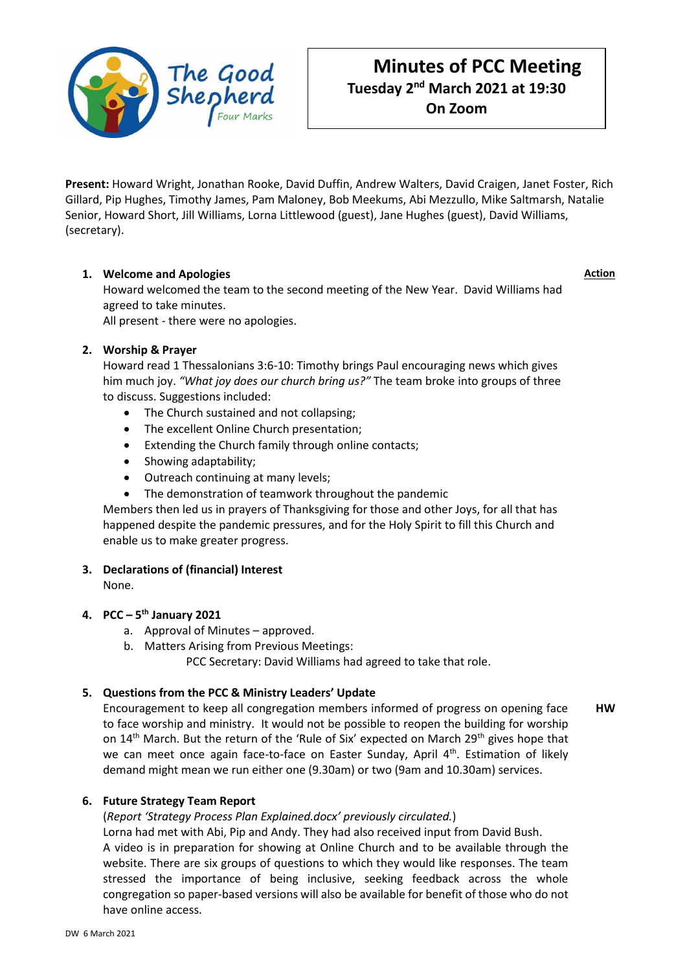

# **Minutes of PCC Meeting Tuesday 2 nd March 2021 at 19:30 On Zoom**

**Present:** Howard Wright, Jonathan Rooke, David Duffin, Andrew Walters, David Craigen, Janet Foster, Rich Gillard, Pip Hughes, Timothy James, Pam Maloney, Bob Meekums, Abi Mezzullo, Mike Saltmarsh, Natalie Senior, Howard Short, Jill Williams, Lorna Littlewood (guest), Jane Hughes (guest), David Williams, (secretary).

# **1. Welcome and Apologies**

**Action**

Howard welcomed the team to the second meeting of the New Year. David Williams had agreed to take minutes.

All present - there were no apologies.

# **2. Worship & Prayer**

Howard read 1 Thessalonians 3:6-10: Timothy brings Paul encouraging news which gives him much joy. *"What joy does our church bring us?"* The team broke into groups of three to discuss. Suggestions included:

- The Church sustained and not collapsing;
- The excellent Online Church presentation;
- Extending the Church family through online contacts;
- Showing adaptability;
- Outreach continuing at many levels;
- The demonstration of teamwork throughout the pandemic

Members then led us in prayers of Thanksgiving for those and other Joys, for all that has happened despite the pandemic pressures, and for the Holy Spirit to fill this Church and enable us to make greater progress.

### **3. Declarations of (financial) Interest**

None.

# **4. PCC – 5 th January 2021**

- a. Approval of Minutes approved.
- b. Matters Arising from Previous Meetings:

PCC Secretary: David Williams had agreed to take that role.

### **5. Questions from the PCC & Ministry Leaders' Update**

Encouragement to keep all congregation members informed of progress on opening face to face worship and ministry. It would not be possible to reopen the building for worship on  $14<sup>th</sup>$  March. But the return of the 'Rule of Six' expected on March 29<sup>th</sup> gives hope that we can meet once again face-to-face on Easter Sunday, April 4<sup>th</sup>. Estimation of likely demand might mean we run either one (9.30am) or two (9am and 10.30am) services. **HW**

### **6. Future Strategy Team Report**

### (*Report 'Strategy Process Plan Explained.docx' previously circulated.*)

Lorna had met with Abi, Pip and Andy. They had also received input from David Bush. A video is in preparation for showing at Online Church and to be available through the website. There are six groups of questions to which they would like responses. The team stressed the importance of being inclusive, seeking feedback across the whole congregation so paper-based versions will also be available for benefit of those who do not have online access.